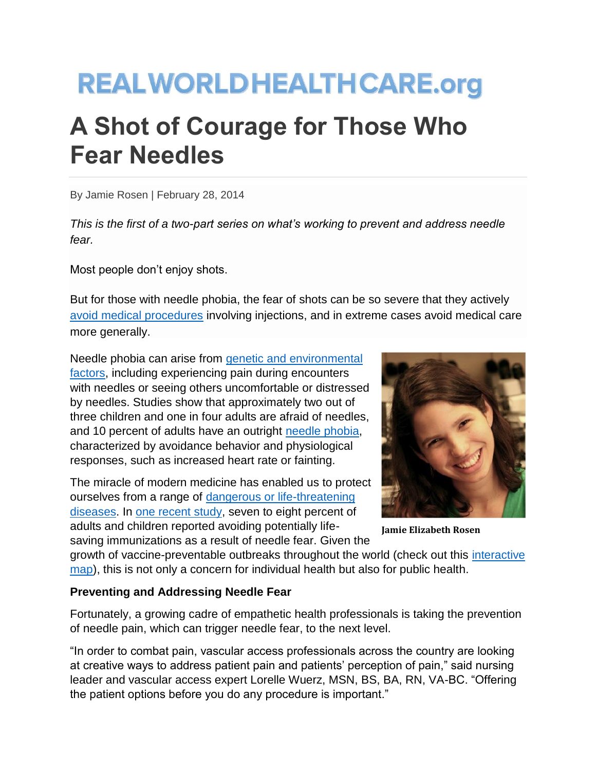# **REALWORLDHEALTHCARE.org**

## **A Shot of Courage for Those Who Fear Needles**

By Jamie Rosen | February 28, 2014

*This is the first of a two-part series on what's working to prevent and address needle fear.*

Most people don't enjoy shots.

But for those with needle phobia, the fear of shots can be so severe that they actively [avoid medical procedures](http://www.ncbi.nlm.nih.gov/pubmed/7636457) involving injections, and in extreme cases avoid medical care more generally.

Needle phobia can arise from [genetic and environmental](http://childpain.org/ppl/issues/v10n2_2008/v10n2_yap.pdf)  [factors,](http://childpain.org/ppl/issues/v10n2_2008/v10n2_yap.pdf) including experiencing pain during encounters with needles or seeing others uncomfortable or distressed by needles. Studies show that approximately two out of three children and one in four adults are afraid of needles, and 10 percent of adults have an outright [needle phobia,](http://www.healthcentral.com/anxiety/disorder-types-273889-5.html) characterized by avoidance behavior and physiological responses, such as increased heart rate or fainting.

The miracle of modern medicine has enabled us to protect ourselves from a range of [dangerous or life-threatening](http://www.cdc.gov/vaccines/vpd-vac/vaccines-list.htm)  [diseases.](http://www.cdc.gov/vaccines/vpd-vac/vaccines-list.htm) In [one recent study,](http://www.ncbi.nlm.nih.gov/pubmed/22617633) seven to eight percent of adults and children reported avoiding potentially lifesaving immunizations as a result of needle fear. Given the



**Jamie Elizabeth Rosen**

growth of vaccine-preventable outbreaks throughout the world (check out this [interactive](http://www.cfr.org/interactives/GH_Vaccine_Map/#map)  [map\)](http://www.cfr.org/interactives/GH_Vaccine_Map/#map), this is not only a concern for individual health but also for public health.

#### **Preventing and Addressing Needle Fear**

Fortunately, a growing cadre of empathetic health professionals is taking the prevention of needle pain, which can trigger needle fear, to the next level.

"In order to combat pain, vascular access professionals across the country are looking at creative ways to address patient pain and patients' perception of pain," said nursing leader and vascular access expert Lorelle Wuerz, MSN, BS, BA, RN, VA-BC. "Offering the patient options before you do any procedure is important."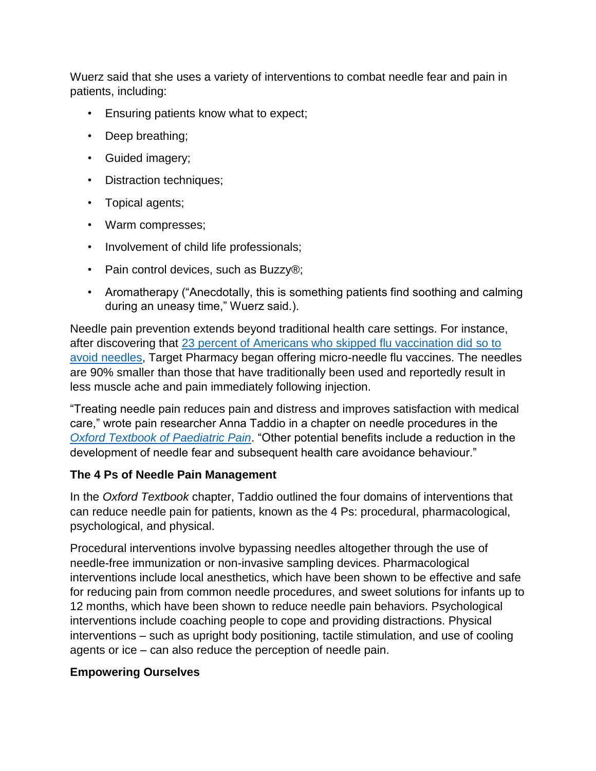Wuerz said that she uses a variety of interventions to combat needle fear and pain in patients, including:

- Ensuring patients know what to expect;
- Deep breathing;
- Guided imagery;
- Distraction techniques;
- Topical agents;
- Warm compresses;
- Involvement of child life professionals;
- Pain control devices, such as Buzzy®;
- Aromatherapy ("Anecdotally, this is something patients find soothing and calming during an uneasy time," Wuerz said.).

Needle pain prevention extends beyond traditional health care settings. For instance, after discovering that [23 percent of Americans who skipped flu vaccination did](http://pressroom.target.com/news/target-survey-shows-adult-americans-237507) so to [avoid needles,](http://pressroom.target.com/news/target-survey-shows-adult-americans-237507) Target Pharmacy began offering micro-needle flu vaccines. The needles are 90% smaller than those that have traditionally been used and reportedly result in less muscle ache and pain immediately following injection.

"Treating needle pain reduces pain and distress and improves satisfaction with medical care," wrote pain researcher Anna Taddio in a chapter on needle procedures in the *[Oxford Textbook of Paediatric Pain](http://books.google.com/books?hl=en&lr=&id=xWyrAAAAQBAJ&oi=fnd&pg=PA184&dq=needle+phobia+review&ots=kFu35-5Po-&sig=sWo8pLLYMMR17T6p4SkZmz3jj04#v=onepage&q&f=false)*. "Other potential benefits include a reduction in the development of needle fear and subsequent health care avoidance behaviour."

#### **The 4 Ps of Needle Pain Management**

In the *Oxford Textbook* chapter, Taddio outlined the four domains of interventions that can reduce needle pain for patients, known as the 4 Ps: procedural, pharmacological, psychological, and physical.

Procedural interventions involve bypassing needles altogether through the use of needle-free immunization or non-invasive sampling devices. Pharmacological interventions include local anesthetics, which have been shown to be effective and safe for reducing pain from common needle procedures, and sweet solutions for infants up to 12 months, which have been shown to reduce needle pain behaviors. Psychological interventions include coaching people to cope and providing distractions. Physical interventions – such as upright body positioning, tactile stimulation, and use of cooling agents or ice – can also reduce the perception of needle pain.

### **Empowering Ourselves**